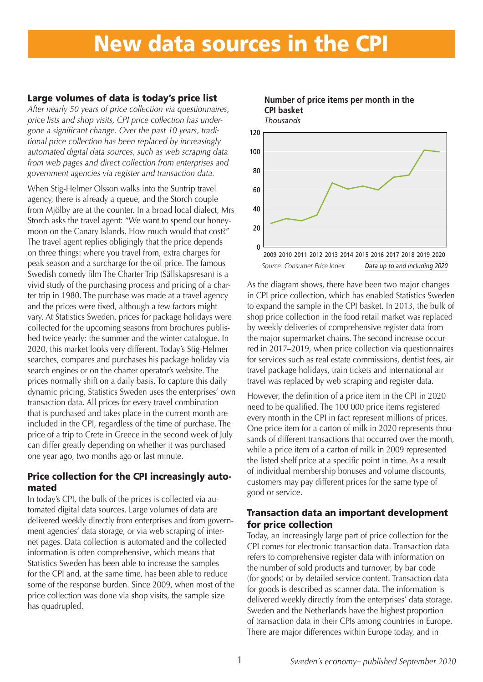# New data sources in the CPI

## Large volumes of data is today's price list

*After nearly 50 years of price collection via questionnaires, price lists and shop visits, CPI price collection has undergone a significant change. Over the past 10 years, traditional price collection has been replaced by increasingly automated digital data sources, such as web scraping data from web pages and direct collection from enterprises and government agencies via register and transaction data.*

When Stig-Helmer Olsson walks into the Suntrip travel agency, there is already a queue, and the Storch couple from Mjölby are at the counter. In a broad local dialect, Mrs Storch asks the travel agent: "We want to spend our honeymoon on the Canary Islands. How much would that cost?" The travel agent replies obligingly that the price depends on three things: where you travel from, extra charges for peak season and a surcharge for the oil price. The famous Swedish comedy film The Charter Trip (Sällskapsresan) is a vivid study of the purchasing process and pricing of a charter trip in 1980. The purchase was made at a travel agency and the prices were fixed, although a few factors might vary. At Statistics Sweden, prices for package holidays were collected for the upcoming seasons from brochures published twice yearly: the summer and the winter catalogue. In 2020, this market looks very different. Today's Stig-Helmer searches, compares and purchases his package holiday via search engines or on the charter operator's website. The prices normally shift on a daily basis. To capture this daily dynamic pricing, Statistics Sweden uses the enterprises' own transaction data. All prices for every travel combination that is purchased and takes place in the current month are included in the CPI, regardless of the time of purchase. The price of a trip to Crete in Greece in the second week of July can differ greatly depending on whether it was purchased one year ago, two months ago or last minute.

#### Price collection for the CPI increasingly automated

In today's CPI, the bulk of the prices is collected via automated digital data sources. Large volumes of data are delivered weekly directly from enterprises and from government agencies' data storage, or via web scraping of internet pages. Data collection is automated and the collected information is often comprehensive, which means that Statistics Sweden has been able to increase the samples for the CPI and, at the same time, has been able to reduce some of the response burden. Since 2009, when most of the price collection was done via shop visits, the sample size has quadrupled.



**Number of price items per month in the**

As the diagram shows, there have been two major changes in CPI price collection, which has enabled Statistics Sweden to expand the sample in the CPI basket. In 2013, the bulk of shop price collection in the food retail market was replaced by weekly deliveries of comprehensive register data from the major supermarket chains. The second increase occurred in 2017–2019, when price collection via questionnaires for services such as real estate commissions, dentist fees, air travel package holidays, train tickets and international air travel was replaced by web scraping and register data.

However, the definition of a price item in the CPI in 2020 need to be qualified. The 100 000 price items registered every month in the CPI in fact represent millions of prices. One price item for a carton of milk in 2020 represents thousands of different transactions that occurred over the month, while a price item of a carton of milk in 2009 represented the listed shelf price at a specific point in time. As a result of individual membership bonuses and volume discounts, customers may pay different prices for the same type of good or service.

#### Transaction data an important development for price collection

Today, an increasingly large part of price collection for the CPI comes for electronic transaction data. Transaction data refers to comprehensive register data with information on the number of sold products and turnover, by bar code (for goods) or by detailed service content. Transaction data for goods is described as scanner data. The information is delivered weekly directly from the enterprises' data storage. Sweden and the Netherlands have the highest proportion of transaction data in their CPIs among countries in Europe. There are major differences within Europe today, and in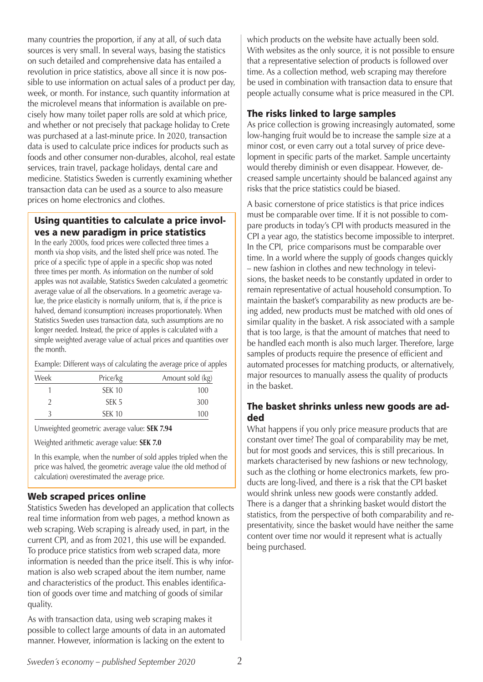many countries the proportion, if any at all, of such data sources is very small. In several ways, basing the statistics on such detailed and comprehensive data has entailed a revolution in price statistics, above all since it is now possible to use information on actual sales of a product per day, week, or month. For instance, such quantity information at the microlevel means that information is available on precisely how many toilet paper rolls are sold at which price, and whether or not precisely that package holiday to Crete was purchased at a last-minute price. In 2020, transaction data is used to calculate price indices for products such as foods and other consumer non-durables, alcohol, real estate services, train travel, package holidays, dental care and medicine. Statistics Sweden is currently examining whether transaction data can be used as a source to also measure prices on home electronics and clothes.

## Using quantities to calculate a price involves a new paradigm in price statistics

In the early 2000s, food prices were collected three times a month via shop visits, and the listed shelf price was noted. The price of a specific type of apple in a specific shop was noted three times per month. As information on the number of sold apples was not available, Statistics Sweden calculated a geometric average value of all the observations. In a geometric average value, the price elasticity is normally uniform, that is, if the price is halved, demand (consumption) increases proportionately. When Statistics Sweden uses transaction data, such assumptions are no longer needed. Instead, the price of apples is calculated with a simple weighted average value of actual prices and quantities over the month.

Example: Different ways of calculating the average price of apples

| Week | Price/kg         | Amount sold (kg) |
|------|------------------|------------------|
|      | <b>SEK 10</b>    | 100              |
|      | SEK <sub>5</sub> | 300              |
| ς    | <b>SEK 10</b>    | 100              |

Unweighted geometric average value: **SEK 7.94**

Weighted arithmetic average value: **SEK 7.0**

In this example, when the number of sold apples tripled when the price was halved, the geometric average value (the old method of calculation) overestimated the average price.

#### Web scraped prices online

Statistics Sweden has developed an application that collects real time information from web pages, a method known as web scraping. Web scraping is already used, in part, in the current CPI, and as from 2021, this use will be expanded. To produce price statistics from web scraped data, more information is needed than the price itself. This is why information is also web scraped about the item number, name and characteristics of the product. This enables identification of goods over time and matching of goods of similar quality.

As with transaction data, using web scraping makes it possible to collect large amounts of data in an automated manner. However, information is lacking on the extent to

which products on the website have actually been sold. With websites as the only source, it is not possible to ensure that a representative selection of products is followed over time. As a collection method, web scraping may therefore be used in combination with transaction data to ensure that people actually consume what is price measured in the CPI.

## The risks linked to large samples

As price collection is growing increasingly automated, some low-hanging fruit would be to increase the sample size at a minor cost, or even carry out a total survey of price development in specific parts of the market. Sample uncertainty would thereby diminish or even disappear. However, decreased sample uncertainty should be balanced against any risks that the price statistics could be biased.

A basic cornerstone of price statistics is that price indices must be comparable over time. If it is not possible to compare products in today's CPI with products measured in the CPI a year ago, the statistics become impossible to interpret. In the CPI, price comparisons must be comparable over time. In a world where the supply of goods changes quickly – new fashion in clothes and new technology in televisions, the basket needs to be constantly updated in order to remain representative of actual household consumption. To maintain the basket's comparability as new products are being added, new products must be matched with old ones of similar quality in the basket. A risk associated with a sample that is too large, is that the amount of matches that need to be handled each month is also much larger. Therefore, large samples of products require the presence of efficient and automated processes for matching products, or alternatively, major resources to manually assess the quality of products in the basket.

# The basket shrinks unless new goods are added

What happens if you only price measure products that are constant over time? The goal of comparability may be met, but for most goods and services, this is still precarious. In markets characterised by new fashions or new technology, such as the clothing or home electronics markets, few products are long-lived, and there is a risk that the CPI basket would shrink unless new goods were constantly added. There is a danger that a shrinking basket would distort the statistics, from the perspective of both comparability and representativity, since the basket would have neither the same content over time nor would it represent what is actually being purchased.